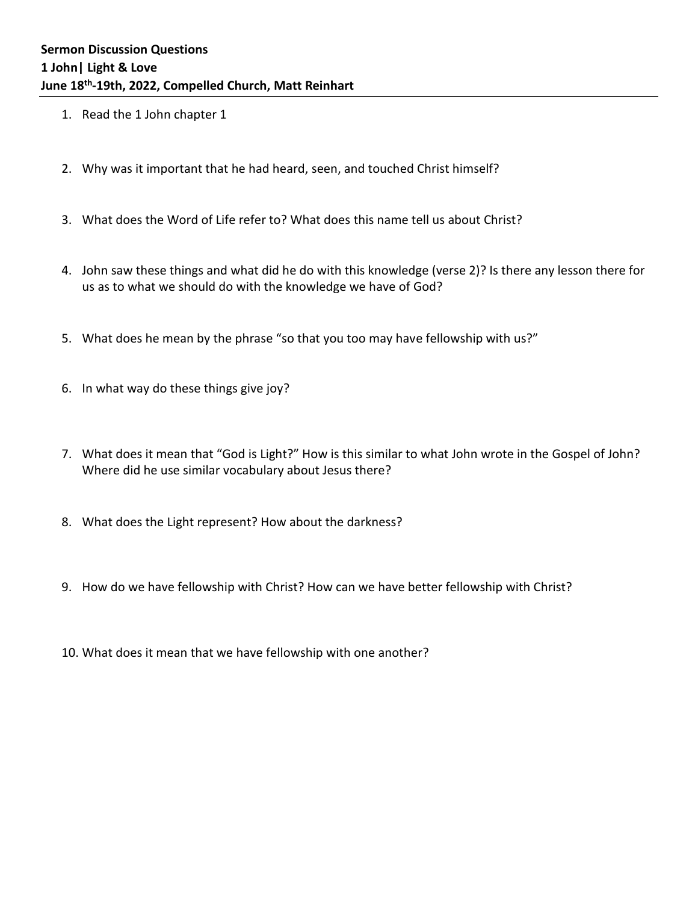- 1. Read the 1 John chapter 1
- 2. Why was it important that he had heard, seen, and touched Christ himself?
- 3. What does the Word of Life refer to? What does this name tell us about Christ?
- 4. John saw these things and what did he do with this knowledge (verse 2)? Is there any lesson there for us as to what we should do with the knowledge we have of God?
- 5. What does he mean by the phrase "so that you too may have fellowship with us?"
- 6. In what way do these things give joy?
- 7. What does it mean that "God is Light?" How is this similar to what John wrote in the Gospel of John? Where did he use similar vocabulary about Jesus there?
- 8. What does the Light represent? How about the darkness?
- 9. How do we have fellowship with Christ? How can we have better fellowship with Christ?
- 10. What does it mean that we have fellowship with one another?